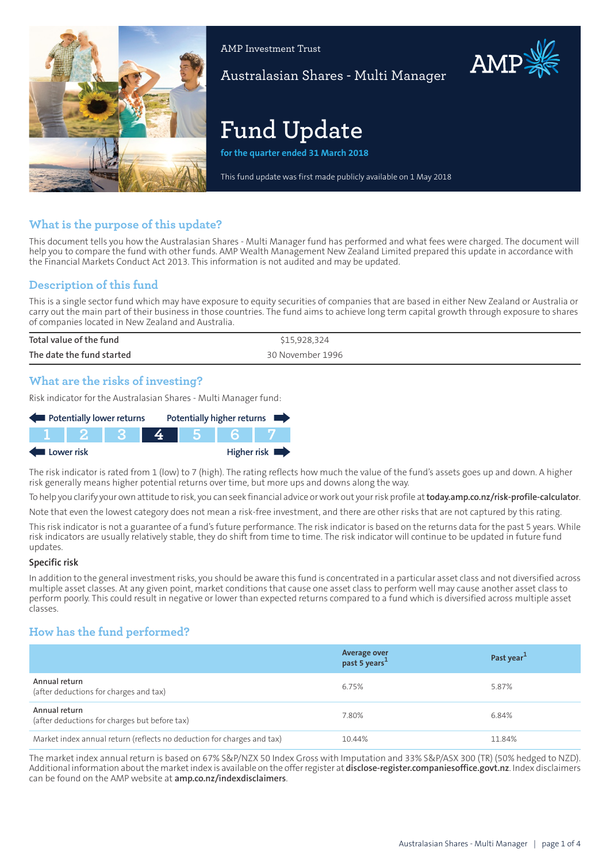

AMP Investment Trust

Australasian Shares - Multi Manager

# **Fund Update**

**for the quarter ended 31 March 2018**

This fund update was first made publicly available on 1 May 2018

# **What is the purpose of this update?**

This document tells you how the Australasian Shares - Multi Manager fund has performed and what fees were charged. The document will help you to compare the fund with other funds. AMP Wealth Management New Zealand Limited prepared this update in accordance with the Financial Markets Conduct Act 2013. This information is not audited and may be updated.

# **Description of this fund**

This is a single sector fund which may have exposure to equity securities of companies that are based in either New Zealand or Australia or carry out the main part of their business in those countries. The fund aims to achieve long term capital growth through exposure to shares of companies located in New Zealand and Australia.

| Total value of the fund   | \$15,928,324     |
|---------------------------|------------------|
| The date the fund started | 30 November 1996 |

## **What are the risks of investing?**

Risk indicator for the Australasian Shares - Multi Manager fund:

| Potentially lower returns |        |  |  | Potentially higher returns |             |
|---------------------------|--------|--|--|----------------------------|-------------|
|                           | IT 2 1 |  |  |                            |             |
| Lower risk                |        |  |  |                            | Higher risk |

The risk indicator is rated from 1 (low) to 7 (high). The rating reflects how much the value of the fund's assets goes up and down. A higher risk generally means higher potential returns over time, but more ups and downs along the way.

To help you clarify your own attitude to risk, you can seek financial advice orwork out yourrisk profile at**[today.amp.co.nz/risk-profile-calculator](http://today.amp.co.nz/risk-profile-calculator)**.

Note that even the lowest category does not mean a risk-free investment, and there are other risks that are not captured by this rating.

This risk indicator is not a guarantee of a fund's future performance. The risk indicator is based on the returns data for the past 5 years. While risk indicators are usually relatively stable, they do shift from time to time. The risk indicator will continue to be updated in future fund updates.

#### **Specific risk**

In addition to the general investmentrisks, you should be aware this fund is concentrated in a particular asset class and not diversified across multiple asset classes. At any given point, market conditions that cause one asset class to perform well may cause another asset class to perform poorly. This could result in negative or lower than expected returns compared to a fund which is diversified across multiple asset classes.

# **How has the fund performed?**

|                                                                        | Average over<br>past 5 years <sup>1</sup> | Past year <sup>1</sup> |
|------------------------------------------------------------------------|-------------------------------------------|------------------------|
| Annual return<br>(after deductions for charges and tax)                | 6.75%                                     | 5.87%                  |
| Annual return<br>(after deductions for charges but before tax)         | 7.80%                                     | 6.84%                  |
| Market index annual return (reflects no deduction for charges and tax) | 10.44%                                    | 11.84%                 |

The market index annual return is based on 67% S&P/NZX 50 Index Gross with Imputation and 33% S&P/ASX 300 (TR) (50% hedged to NZD). Additional information aboutthe marketindex is available on the offerregister at **[disclose-register.companiesoffice.govt.nz](https://disclose-register.companiesoffice.govt.nz/)**. Index disclaimers can be found on the AMP website at **[amp.co.nz/indexdisclaimers](http://amp.co.nz/indexdisclaimers)**.

AMP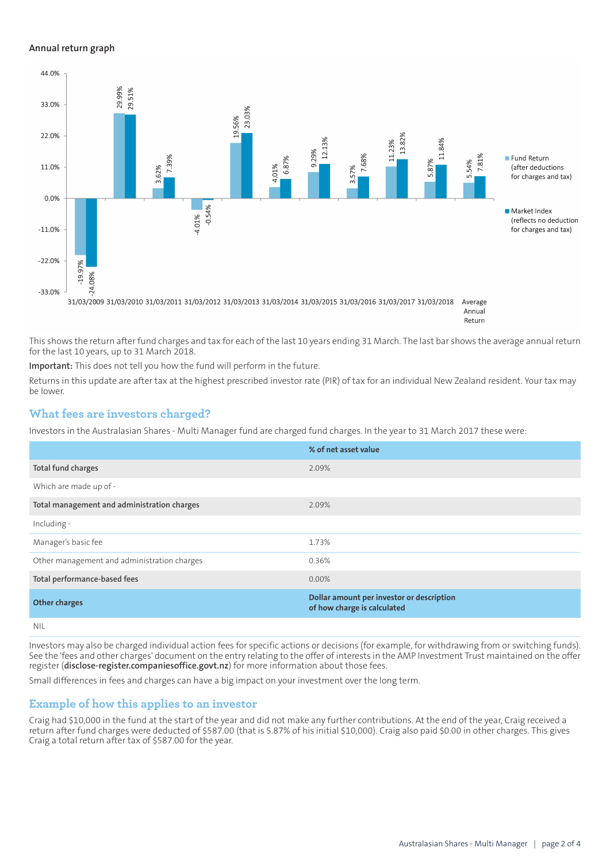### **Annual return graph**



This shows the return after fund charges and tax for each of the last 10 years ending 31 March. The last bar shows the average annual return for the last 10 years, up to 31 March 2018.

**Important:** This does not tell you how the fund will perform in the future.

Returns in this update are after tax at the highest prescribed investor rate (PIR) of tax for an individual New Zealand resident. Your tax may be lower.

## **What fees are investors charged?**

Investors in the Australasian Shares - Multi Manager fund are charged fund charges. In the year to 31 March 2017 these were:

|                                             | % of net asset value                                                     |
|---------------------------------------------|--------------------------------------------------------------------------|
| Total fund charges                          | 2.09%                                                                    |
| Which are made up of -                      |                                                                          |
| Total management and administration charges | 2.09%                                                                    |
| Including -                                 |                                                                          |
| Manager's basic fee                         | 1.73%                                                                    |
| Other management and administration charges | 0.36%                                                                    |
| Total performance-based fees                | $0.00\%$                                                                 |
| <b>Other charges</b>                        | Dollar amount per investor or description<br>of how charge is calculated |
| NII                                         |                                                                          |

Investors may also be charged individual action fees for specific actions or decisions (for example, for withdrawing from or switching funds). See the 'fees and other charges' document on the entry relating to the offer of interests in the AMP Investment Trust maintained on the offer register (**[disclose-register.companiesoffice.govt.nz](https://disclose-register.companiesoffice.govt.nz/)**) for more information about those fees.

Small differences in fees and charges can have a big impact on your investment over the long term.

## **Example of how this applies to an investor**

Craig had \$10,000 in the fund at the start of the year and did not make any further contributions. At the end of the year, Craig received a return after fund charges were deducted of \$587.00 (that is 5.87% of his initial \$10,000). Craig also paid \$0.00 in other charges. This gives Craig a total return after tax of \$587.00 for the year.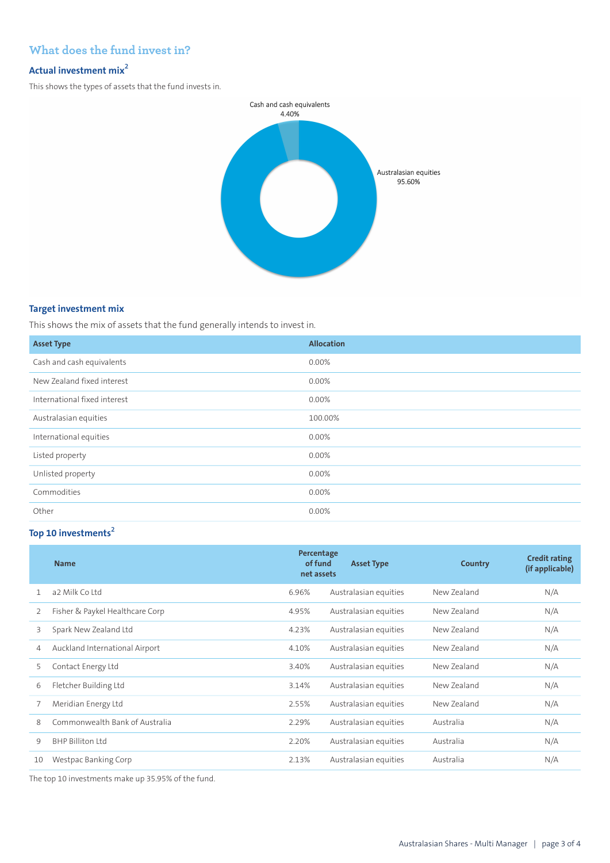# **What does the fund invest in?**

# **Actual investment mix<sup>2</sup>**

This shows the types of assets that the fund invests in.



## **Target investment mix**

This shows the mix of assets that the fund generally intends to invest in.

| <b>Asset Type</b>            | <b>Allocation</b> |
|------------------------------|-------------------|
| Cash and cash equivalents    | 0.00%             |
| New Zealand fixed interest   | 0.00%             |
| International fixed interest | 0.00%             |
| Australasian equities        | 100.00%           |
| International equities       | 0.00%             |
| Listed property              | $0.00\%$          |
| Unlisted property            | 0.00%             |
| Commodities                  | $0.00\%$          |
| Other                        | 0.00%             |

# **Top 10 investments<sup>2</sup>**

|    | <b>Name</b>                     | Percentage<br>of fund<br>net assets | <b>Asset Type</b>     | <b>Country</b> | <b>Credit rating</b><br>(if applicable) |
|----|---------------------------------|-------------------------------------|-----------------------|----------------|-----------------------------------------|
| 1. | a2 Milk Coltd                   | 6.96%                               | Australasian equities | New Zealand    | N/A                                     |
| 2  | Fisher & Paykel Healthcare Corp | 4.95%                               | Australasian equities | New Zealand    | N/A                                     |
| 3  | Spark New Zealand Ltd           | 4.23%                               | Australasian equities | New Zealand    | N/A                                     |
| 4  | Auckland International Airport  | 4.10%                               | Australasian equities | New Zealand    | N/A                                     |
| 5  | Contact Energy Ltd              | 3.40%                               | Australasian equities | New Zealand    | N/A                                     |
| 6  | Fletcher Building Ltd           | 3.14%                               | Australasian equities | New Zealand    | N/A                                     |
|    | Meridian Energy Ltd             | 2.55%                               | Australasian equities | New Zealand    | N/A                                     |
| 8  | Commonwealth Bank of Australia  | 2.29%                               | Australasian equities | Australia      | N/A                                     |
| 9  | BHP Billiton Itd                | 2.20%                               | Australasian equities | Australia      | N/A                                     |
| 10 | Westpac Banking Corp            | 2.13%                               | Australasian equities | Australia      | N/A                                     |

The top 10 investments make up 35.95% of the fund.